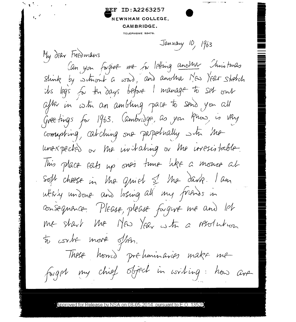ID:A2263257 NEWNHAM COLLEGE. CAMBRIDGE.

 $\mathbf{r}^{\mathbf{a}} = \mathbf{r}_{\mathbf{y}}$ 

TELEPHONE 52478.

January 10, 1963

My dear Fredmans Can you forgive me sor letting another Christmas Shink by school a ward, and another Mes Year stretch its legs for the days before I manage to set out after in with an ambling pace to send you all Greetings for 1963. (ambridge, as you know, is vary commpting, catching one perpetually str the unexpecter or the initating or the irresistable. this place eats up one's time like a monze at soft cheese in the quiet of the dark. I am whit's undone and losing all my friends in consequence. Please, please forgive me and let me start the MED Year with a resolution to corbe more ofthe. These homed prehminaries make me forget my chief object in writing: how are

pproved for Release by NSA on 08-05-2014 pursuant to E.O.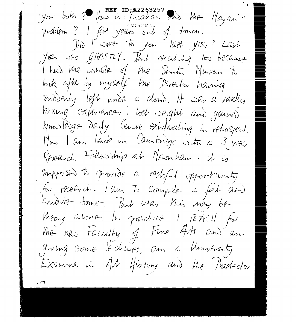yon both ? How is incorrent and the Nayan. problem? I feel years out of touch. Did I write to you last year? Last Year was GHASTLY. But Exciting too because I had the whole of the Sunti Mureum to look after by myself the Director having Suddenly left under a cloud. It was a really Vaxing experience: I lost sagnt and gamed knowlinge daily. Ander Ethilading in rehospect. Mas I am back in Cambridge str a 3 year Research Fellowship at Massinam: it is Supposed to provide a restful opportunity for research. I am to compile a fat and Endre tome. But alas Mis mey be Meany abone. In practice I TEACH for the new taculty of Fine Arts and an groing some lectures, am a University Examine in AM History and the Pradector

 $117$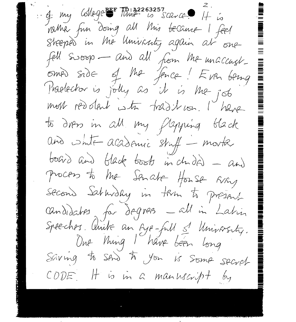4 my College EF TD: 22263257 vather fun doing all this became I feel Streptis in the University again at one fell swoop - and all from the unaccust omer side of the fence! Even being Praelector is jolly as it is the job most reddlant with tradit von. I have to draw in all my flepping black and sinte academic striff - morte board and black boots in chided - and process to the Senate House Every second Saturday in them to present candidates for degrees -all in Latin Speechers. Aintre an Eye-full s' University.<br>One Ming I have been long Saving to Stro to you is some secret CODE It is in a manuscript by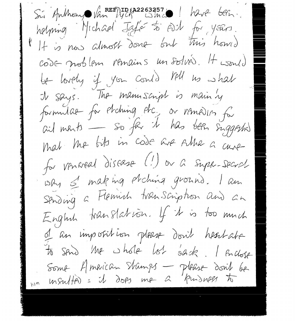Sis Anthony Van Mick Dinco have been. helping Michael Jafé to Ash for years. Il tis now almost done but this homed code problem remains un solved. It would be lovely if you could tell us what I says. The manuscript is main by formulae for elching etc. or remedier for<br>aid ments - so far it has been suggested mat the bits in code are subs a cure for venireal disease (!) or a super-secret why I making elching ground. I am Stroing a Fleminh transcription and an English translation. If it is too much of an imposition please don't heartable to send the whole lot sack. I enclose Some American stamps - please dont be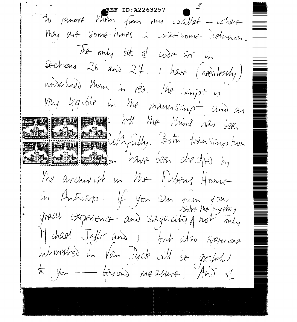**REF ID:A2263257** to permone Vhem from my wallet - where MAY are some times a searisome delusion. The only sits of code are in Sections 26 and 27. I have (needlessly) undanned them in red. The singst is VRY legible in the manuscript and as FOR THE 1 Me 1 mind has been MAN Det Windows Entre 1904 seen checken by The archivist in the Rubens House in Antiskp- If you can pour you great experience and sagacity prot only Michael Jaffe and I fout also systems one interested in Van Nyck will de grafehal  $\star$ , you - beyond measure. And  $\leq$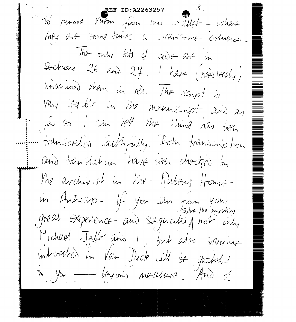REF ID: A2263257 to permove Vhem from my sallet - where they are sometimes a NEarisone delugion. The only oits of code are in Sections 26 and 27. I have (needlessly) undanned them in red. The dimpt is Why leg ble in the namscript and as . In as I can fell the thing nas been ... Wanscribed allhfully. Both transcription and translation have seen checked by The avanivist in the fibers four in Antiskp- If you can now you great experience and sagacitien not only Michael Jaffe and I, but also systems interested in Van Duck will be granted to you beyond measure. And s'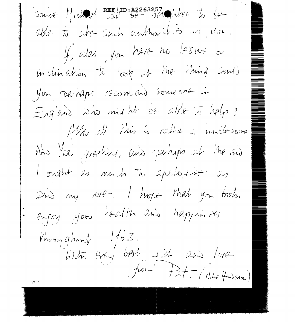$Covysk$  )  $|clogy|$  REF ID: A2263257 able to site such authorities as von. If alas, you have no leisure or incluination to look at the thing could You Dechaps recomend someone in England who might se able to help? Mr M Mis is rather a posterone New fac, greeting, and perhaps of the ond I onght as much to appliquer as Sind my over. I hope that you both Enjoy your health and happin as Whom ghout  $1/6.3$ . With Every best wish and love from Pat (Milhe Hoisonom) is in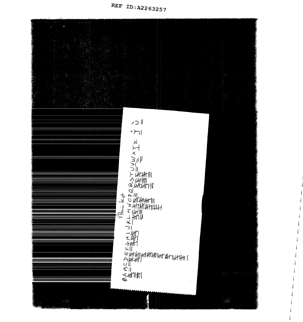

j

j

j

j

j

j

j

j

j

j

j

j

j

j

j

j

j

j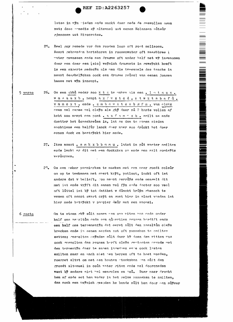latse in wyn wieden ende mackt daer mede de meswollen ogen nat; dese remedie sy altemael uut eenen Holansen auteur gjenomen uut Hipocrates.

NING DIE TE TE TE NEW PRODUCTION OF THE PERSON WERE

- $25 -$ Heel goy remede vor den rooden loop oft root melisoen. Nempt gebranden hertshoren in roosenwater oft weeghbree ; water gewassen ende een dragme oft ander half met wij ingenomen daer een daer een [sic] weynich dragants in geweyckt heeft is een experte medecth als nen die tweemaels des tnachs in nempt des*rheltcken* oock een dramme reusel van eenen jongen haese met wyn innempt.
- 26. Om een qbhu weder soo x t s te maken als een. I m t x z x. 5 verso wm sauxb. nempt ax f w x t c d . n t w x t s b q f ù . vmmcxt.ende.zmbcwxtcsbgfn.vanelckx even vel capse wel cleyn als ghy daer nu 2 hants vollen af hebt soo nempt een pont . a x f  $\frac{1}{2}$  m " x b . smilt se ende doetter het ûorschreuen in, lat se dan te samen sieden sachtiens een halfür lanck doer naer soo druckt het doer eenen dock en bestryckt hier mede.
	- 27. Item nempt. s m k x b b n m u. latet in put waeter smilten ende lecht er dit met een dockxken on ende men salt somtetts verdersen.
	- Om een neker parmicrken te maeken met een seer goedt coleur  $2^{\Omega}$ . om op te teekenen met svert kryt, potloot, inckt oft iet anders dat v belieft, soo neept serruys ende mengelt dit met int ende vryft dit samen wel fyn ende doeter soo veel oft luttel int by tot datthet v dunckt bruyn ghenoch te wesen oft nempt swert crit en goet hier in plaet vanden int hier mede bstryckt v pampier deur met een sponsi.

Om te etsen ghy sult nemen cen ons witen was ende onder 6 recto half ons as altum ende een queertien reusen herdtft ende een half ons terrementyn dat eerst sûlt den ansaltûm cleyn brecken ende in eenen serden pot oft panneken te smilter setten: respolten meyndem sult daer by doen den witten was oock mesmolten den reusen herft cleyn meatooten sevnde met den termentyn daer te samen ingedaen enne oock lasten smilten maer en mach niet nen berren oft te heet worden, roerret altyt om met een houten utockxken usn sûlt den grondt altemael in cout water giten ende wel doorcneden want by anders niet wel menwelen en sou. Daer naer drocht hem af ende set hem weder in het selve panneken te smilten. dan noch een weynich gesoden he bende sult hem door een suyver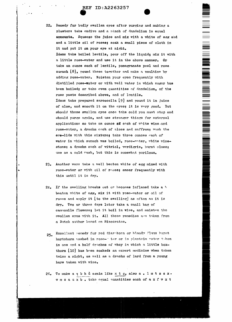22. Remedy for badly swollen eyes after purging and making a plaster: take endive and a pinch of dandelion in equal ammounts. Squeeze the juice and mix with a white of egg abd and a little oil of roses; soak a small piece of cloth in it and put it on your eye at night. Idem: take boiled lentils, pour off the liquid; mix it with a little rose-water and use it in the above manner. take an ounce each of lentils, pomegranate peel and rose. sumach [8], pound these together and make a poultice by adding rose-water. Moisten your eyes frequently with distilled rose-mater or with well water in which sugar has been boiled; or take even quantities of dandelion, of the rose paste described above, and of lentils. Idem: take prepared sarcocolla [9] and pound it in juice of aloe, and smooth it on the eyes; it is very good. But should these swollen eyes once take cold you must stop and should purge again, and use stronger things for external application: so take an ounce af each of white wine and rose-water, a drachm oach of aloes and saffron; wash the eye-lids with this mixture; take three ounces each of water in which sumach was boiled, rose-water, white winestone; a drachm each of vitriol, verdigris, burnt aloes; use as a cold wash, but this is somewhat perilous.

NA MARINA NA MARINA NA MARINA NA MARINA NA MARAKA NA MARAKA NA MARAKA NA MARINA NA MARINA NA MARINA NA MARINA N<br>Marina na marina na marina na marina na marina na marina na marina na marina na marina na marina na marina na

- 23. Another way: take a well beaten white of egg mixed with rose-water or with oil of reses; smear frequently with this until it is dry.
- If the swelling breaks out or becomes inflamed take a h  $24$ beaton white of egg, mix it with rose-water or oil of roses and apply it [to the swelling] as often as it is dry. Two or three days later take a small bag of cammomile flowers; let it boil in wine, and moisten the swollen eyes with it. All these remedies are taken from a Dutch author based on Hinocrates.
- Excellent remedy for red diarphoea or bloody flux: burnt  $25.$ hartshorn washed in rose-" ter or in plantain water taken in one and a half drachms of whey in which a little boxthorn [10] has been soaked: an expert medicine when taken twice a night, as well as a drachm of lard from a young hare taken with wine.
- 26. To make a q b h ù again like  $x \, t \, z_2$  also a. l m  $t \, z \, z \, x$ . wmsauxb.take equal quantities each of a x f w x t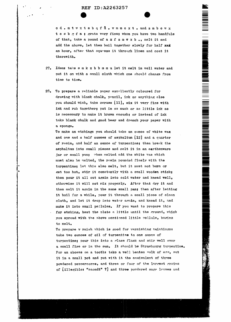

- 27. Idem: take smkxbbmmu let it melt in well water and put it on with a small cloth which one should change from time to time.
- $28.$ To prepare a reliable paper excallently coloured for drawing with black chalk, pencil, ink or anything else you should wish, take ceruse [11], mix it very fine with ink and rub together; put in as much or as little ink as is necessary to make it brown enough; or instead of ink take black chalk and good beer and drench your paper with a sponge.

To make an etching: you should take an ounce of white wax and one and a half ounces of asphaltum [12] and a quarter of resin, and half an ounce of turpentine; then break the asphaltum into small pieces and melt it in an earthenware jar or small pan; when melted add the white was which must also be melted, the resin pounded finely with the turpentine; let this also melt, but it must not burn or get too hot, stir it constantly with a small wooden stick; then pour it all out again into cold water and knead well, otherwise it will not mix properly. After that dry it and then melt it again in the same small pan; then after letting it boil for a while, pour it through a small piece of clean cloth, and let it drop into water again, and knead it, and make it into small pellules. If you want to prepare this for etching, heat the plate a little until the ground, which you spread with the above mentioned little pellule, begins to melt.

To prepare v rnish which is good for varnishing paintings: take two ounces of oil of turpentine to one ounce of turpentine: pour this into a glass flask and stir well over a small fire or in the sun. It should be Strasbourg turpentine. For an abcess on a tooth: take a well beaten wolk of eas, mut it in a small pot and put with it the equivalent of three powdered peppercorns, and three or four of the largest grains of [illegible: "saondt" ?] and three powdered sage leaves and